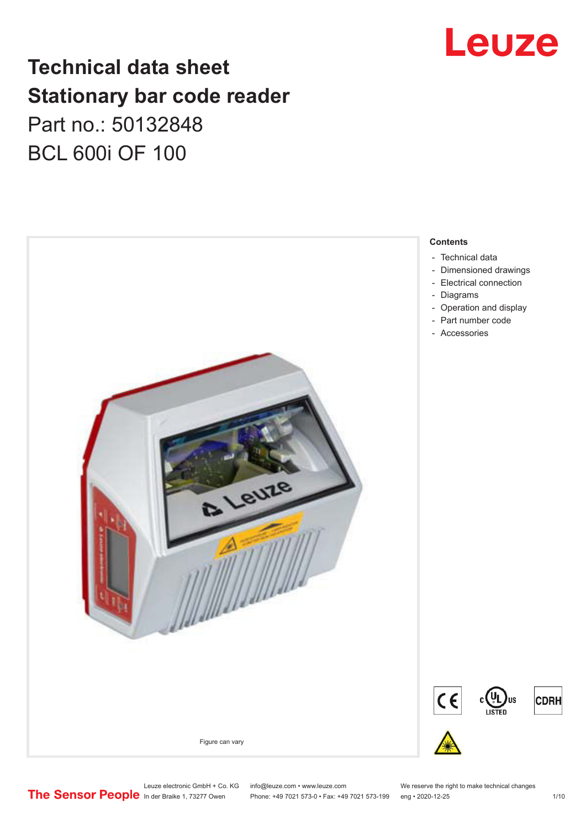

# **Technical data sheet Stationary bar code reader** Part no.: 50132848 BCL 600i OF 100



Leuze electronic GmbH + Co. KG info@leuze.com • www.leuze.com We reserve the right to make technical changes<br>
The Sensor People in der Braike 1, 73277 Owen Phone: +49 7021 573-0 • Fax: +49 7021 573-199 eng • 2020-12-25 Phone: +49 7021 573-0 • Fax: +49 7021 573-199 eng • 2020-12-25 1 /10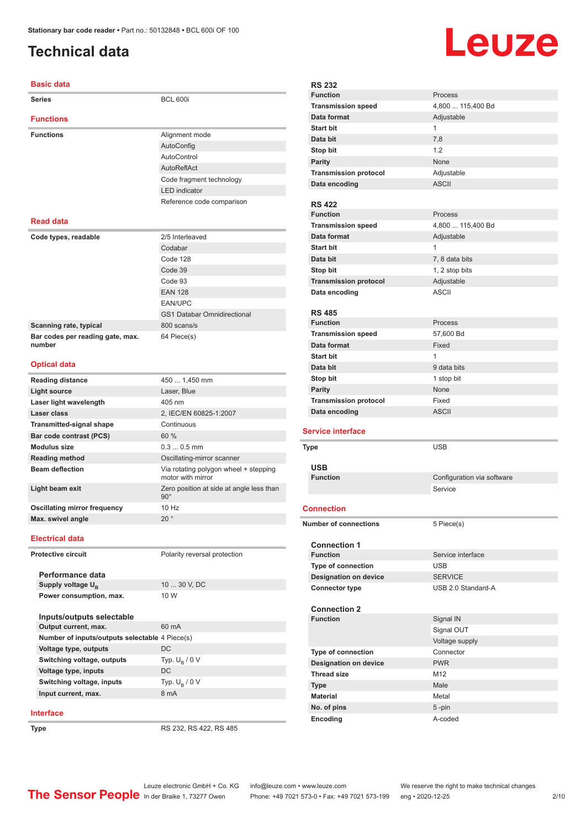# <span id="page-1-0"></span>**Technical data**

#### **Basic data**

| <b>Series</b>                              | <b>BCL 600i</b>                                            |
|--------------------------------------------|------------------------------------------------------------|
| <b>Functions</b>                           |                                                            |
| <b>Functions</b>                           | Alignment mode                                             |
|                                            | AutoConfig                                                 |
|                                            | AutoControl                                                |
|                                            | AutoReflAct                                                |
|                                            | Code fragment technology                                   |
|                                            | <b>LED</b> indicator                                       |
|                                            | Reference code comparison                                  |
| <b>Read data</b>                           |                                                            |
| Code types, readable                       | 2/5 Interleaved                                            |
|                                            | Codabar                                                    |
|                                            | Code 128                                                   |
|                                            | Code 39                                                    |
|                                            | Code 93                                                    |
|                                            | <b>EAN 128</b>                                             |
|                                            | <b>EAN/UPC</b>                                             |
|                                            | <b>GS1 Databar Omnidirectional</b>                         |
| Scanning rate, typical                     | 800 scans/s                                                |
| Bar codes per reading gate, max.<br>number | 64 Piece(s)                                                |
| <b>Optical data</b>                        |                                                            |
| <b>Reading distance</b>                    | 450  1,450 mm                                              |
| <b>Light source</b>                        | Laser, Blue                                                |
| Laser light wavelength                     | 405 nm                                                     |
| Laser class                                | 2. IEC/EN 60825-1:2007                                     |
| <b>Transmitted-signal shape</b>            | Continuous                                                 |
| <b>Bar code contrast (PCS)</b>             | 60 %                                                       |
| <b>Modulus size</b>                        | $0.30.5$ mm                                                |
| <b>Reading method</b>                      | Oscillating-mirror scanner                                 |
| <b>Beam deflection</b>                     | Via rotating polygon wheel + stepping<br>motor with mirror |
| Light beam exit                            | Zero position at side at angle less than<br>$90^\circ$     |
| <b>Oscillating mirror frequency</b>        | $10$ Hz                                                    |
| Max. swivel angle                          | $20^{\circ}$                                               |
| <b>Electrical data</b>                     |                                                            |
| <b>Protective circuit</b>                  | Polarity reversal protection                               |

**Performance data Supply voltage U<sub>B</sub>** 10 ... 30 V, DC **Power consumption, max.** 10 W

| Inputs/outputs selectable                      |                  |  |
|------------------------------------------------|------------------|--|
| Output current, max.                           | 60 mA            |  |
| Number of inputs/outputs selectable 4 Piece(s) |                  |  |
| Voltage type, outputs                          | DC.              |  |
| Switching voltage, outputs                     | Typ. $U_p / 0 V$ |  |
| Voltage type, inputs                           | DC               |  |
| Switching voltage, inputs                      | Typ. $U_p / 0 V$ |  |
| Input current, max.                            | 8 mA             |  |
|                                                |                  |  |

#### **Interface**

**Type** RS 232, RS 422, RS 485

| <b>RS 232</b>                          |                            |  |
|----------------------------------------|----------------------------|--|
| <b>Function</b>                        | Process                    |  |
| <b>Transmission speed</b>              | 4,800  115,400 Bd          |  |
| Data format                            | Adjustable                 |  |
| <b>Start bit</b>                       | $\mathbf{1}$               |  |
| Data bit                               | 7,8                        |  |
| Stop bit                               | 1.2                        |  |
| <b>Parity</b>                          | None                       |  |
| <b>Transmission protocol</b>           | Adjustable                 |  |
| Data encoding                          | <b>ASCII</b>               |  |
|                                        |                            |  |
| <b>RS 422</b>                          |                            |  |
| <b>Function</b>                        | Process                    |  |
| <b>Transmission speed</b>              | 4,800  115,400 Bd          |  |
| Data format                            | Adjustable                 |  |
| <b>Start bit</b>                       | 1                          |  |
| Data bit                               | 7, 8 data bits             |  |
| Stop bit                               | 1, 2 stop bits             |  |
| <b>Transmission protocol</b>           | Adjustable                 |  |
| Data encoding                          | <b>ASCII</b>               |  |
|                                        |                            |  |
| <b>RS 485</b>                          |                            |  |
| <b>Function</b>                        | Process                    |  |
| <b>Transmission speed</b>              | 57,600 Bd                  |  |
| Data format                            | Fixed                      |  |
| <b>Start bit</b>                       | $\mathbf{1}$               |  |
| Data bit                               | 9 data bits                |  |
| Stop bit                               | 1 stop bit                 |  |
| <b>Parity</b>                          | None                       |  |
| <b>Transmission protocol</b>           | Fixed                      |  |
|                                        |                            |  |
| Data encoding                          | <b>ASCII</b>               |  |
|                                        |                            |  |
| <b>Service interface</b>               |                            |  |
| <b>Type</b>                            | <b>USB</b>                 |  |
|                                        |                            |  |
| <b>USB</b>                             |                            |  |
| <b>Function</b>                        | Configuration via software |  |
|                                        | Service                    |  |
| <b>Connection</b>                      |                            |  |
|                                        |                            |  |
| <b>Number of connections</b>           | 5 Piece(s)                 |  |
|                                        |                            |  |
| <b>Connection 1</b><br><b>Function</b> | Service interface          |  |
| Type of connection                     | <b>USB</b>                 |  |
| <b>Designation on device</b>           | <b>SERVICE</b>             |  |
| <b>Connector type</b>                  | USB 2.0 Standard-A         |  |
|                                        |                            |  |
| <b>Connection 2</b>                    |                            |  |
| <b>Function</b>                        | Signal IN                  |  |
|                                        | Signal OUT                 |  |
|                                        | Voltage supply             |  |
| Type of connection                     | Connector                  |  |
| <b>Designation on device</b>           | <b>PWR</b>                 |  |
| <b>Thread size</b>                     | M12                        |  |
| <b>Type</b>                            | Male                       |  |
| <b>Material</b>                        | Metal                      |  |
| No. of pins<br>Encoding                | $5 - pin$<br>A-coded       |  |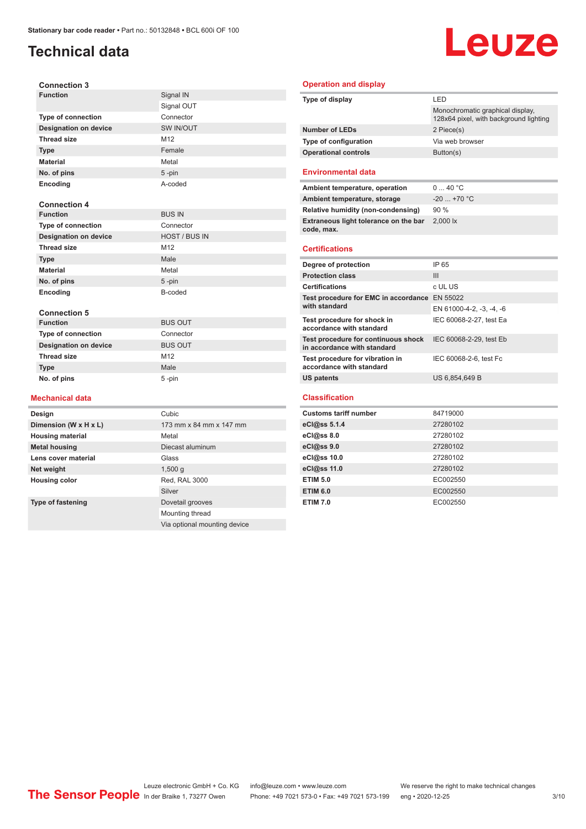# **Technical data**

# Leuze

| Design                                 | Cubic                |
|----------------------------------------|----------------------|
| <b>Mechanical data</b>                 |                      |
| No. of pins                            | 5-pin                |
| <b>Type</b>                            | Male                 |
| <b>Thread size</b>                     | M12                  |
| <b>Designation on device</b>           | <b>BUS OUT</b>       |
| <b>Type of connection</b>              | Connector            |
| <b>Connection 5</b><br><b>Function</b> | <b>BUS OUT</b>       |
| Encoding                               |                      |
| No. of pins                            | $5 - pin$<br>B-coded |
| <b>Material</b>                        | Metal                |
| <b>Type</b>                            | Male                 |
| <b>Thread size</b>                     | M12                  |
| <b>Designation on device</b>           | <b>HOST / BUS IN</b> |
| Type of connection                     | Connector            |
| <b>Function</b>                        | <b>BUS IN</b>        |
| <b>Connection 4</b>                    |                      |
| Encoding                               | A-coded              |
| No. of pins                            | 5-pin                |
| <b>Material</b>                        | Metal                |
| <b>Type</b>                            | Female               |
| <b>Thread size</b>                     | M12                  |
| <b>Designation on device</b>           | SW IN/OUT            |
| <b>Type of connection</b>              | Connector            |
|                                        | Signal OUT           |
| <b>Function</b>                        | Signal IN            |

**Dimension (W x H x L)** 173 mm x 84 mm x 147 mm

Silver

Mounting thread

Via optional mounting device

**Metal housing** Diecast aluminum

**Type of fastening** Dovetail grooves

**Housing material** Metal

**Lens cover material Glass** Glass **Net weight** 1,500 g **Housing color** Red, RAL 3000

#### **Operation and display**

| Type of display                                                    | LED                                                                        |  |
|--------------------------------------------------------------------|----------------------------------------------------------------------------|--|
|                                                                    | Monochromatic graphical display.<br>128x64 pixel, with background lighting |  |
| <b>Number of LEDs</b>                                              | 2 Piece(s)                                                                 |  |
| Type of configuration                                              | Via web browser                                                            |  |
| <b>Operational controls</b>                                        | Button(s)                                                                  |  |
| <b>Environmental data</b>                                          |                                                                            |  |
| Ambient temperature, operation                                     | 040 °C                                                                     |  |
| Ambient temperature, storage                                       | $-20$ +70 °C                                                               |  |
| Relative humidity (non-condensing)                                 | 90%                                                                        |  |
| Extraneous light tolerance on the bar<br>code, max.                | 2.000 lx                                                                   |  |
| <b>Certifications</b>                                              |                                                                            |  |
| Degree of protection                                               | IP 65                                                                      |  |
| <b>Protection class</b>                                            | Ш                                                                          |  |
| <b>Certifications</b>                                              | c UL US                                                                    |  |
| Test procedure for EMC in accordance EN 55022<br>with standard     | EN 61000-4-2, -3, -4, -6                                                   |  |
| Test procedure for shock in<br>accordance with standard            | IEC 60068-2-27, test Ea                                                    |  |
| Test procedure for continuous shock<br>in accordance with standard | IEC 60068-2-29, test Eb                                                    |  |
| Test procedure for vibration in<br>accordance with standard        | IEC 60068-2-6, test Fc                                                     |  |
| <b>US patents</b>                                                  | US 6,854,649 B                                                             |  |
| <b>Classification</b>                                              |                                                                            |  |
| <b>Customs tariff number</b>                                       | 84719000                                                                   |  |
| eCl@ss 5.1.4                                                       | 27280102                                                                   |  |
|                                                                    |                                                                            |  |
| eCl@ss 8.0                                                         | 27280102                                                                   |  |

| eCl@ss 5.1.4       | 27280102 |
|--------------------|----------|
| $eC/\omega$ ss 8.0 | 27280102 |
| eCl@ss 9.0         | 27280102 |
| eCl@ss 10.0        | 27280102 |
| eCl@ss 11.0        | 27280102 |
| <b>ETIM 5.0</b>    | EC002550 |
| <b>ETIM 6.0</b>    | EC002550 |
| <b>ETIM 7.0</b>    | EC002550 |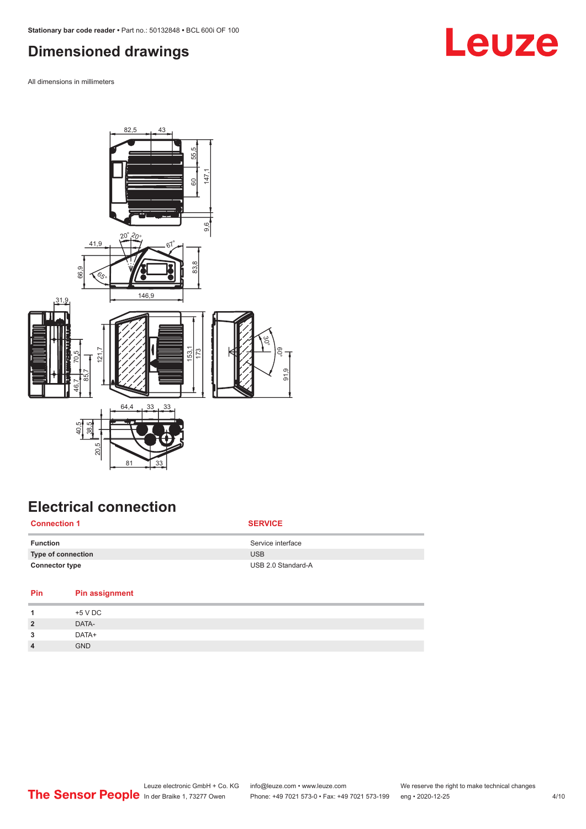# <span id="page-3-0"></span>**Dimensioned drawings**

All dimensions in millimeters



# **Electrical connection**

| <b>Connection 1</b>   | <b>SERVICE</b>     |
|-----------------------|--------------------|
| <b>Function</b>       | Service interface  |
| Type of connection    | <b>USB</b>         |
| <b>Connector type</b> | USB 2.0 Standard-A |

| Pin            | <b>Pin assignment</b> |
|----------------|-----------------------|
| л              | +5 V DC               |
| $\overline{2}$ | DATA-                 |
| 3              | DATA+                 |
| $\overline{4}$ | <b>GND</b>            |
|                |                       |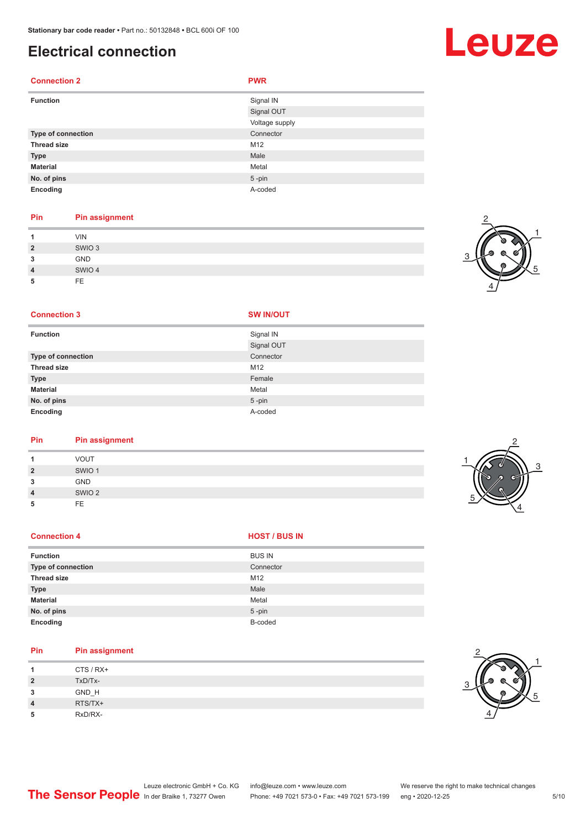### **Electrical connection**

#### **Connection 2 PWR Function** Signal IN Signal OUT Voltage supply **Type of connection** Connection Connector **Thread size** M12 **Type Male Material** Metal **No. of pins** 5 -pin **Encoding** A-coded

#### **Pin Pin assignment**

|                | <b>VIN</b>        |
|----------------|-------------------|
| $\overline{2}$ | SWIO <sub>3</sub> |
| 3              | <b>GND</b>        |
| $\overline{4}$ | SWIO 4            |
| 5              | <b>FE</b>         |

#### **Connection 3 SW IN/OUT**

| <b>Function</b>    | Signal IN  |
|--------------------|------------|
|                    | Signal OUT |
| Type of connection | Connector  |
| <b>Thread size</b> | M12        |
| <b>Type</b>        | Female     |
| <b>Material</b>    | Metal      |
| No. of pins        | $5$ -pin   |
| Encoding           | A-coded    |

# **Pin Pin assignment**

| 4              | <b>VOUT</b>       |
|----------------|-------------------|
| $\overline{2}$ | SWIO <sub>1</sub> |
| 3              | <b>GND</b>        |
| $\overline{4}$ | SWIO <sub>2</sub> |
| 5              | <b>FE</b>         |
|                |                   |

#### **Connection 4 HOST** / BUS IN

| <b>Function</b>    | <b>BUS IN</b> |
|--------------------|---------------|
| Type of connection | Connector     |
| <b>Thread size</b> | M12           |
| <b>Type</b>        | Male          |
| <b>Material</b>    | Metal         |
| No. of pins        | $5 - pin$     |
| Encoding           | B-coded       |

# **Pin Pin assignment**

| 1              | CTS / RX+ |
|----------------|-----------|
| $\overline{2}$ | TxD/Tx-   |
| 3              | GND_H     |
| $\overline{4}$ | RTS/TX+   |
| 5              | RxD/RX-   |





2

4

3

1

5







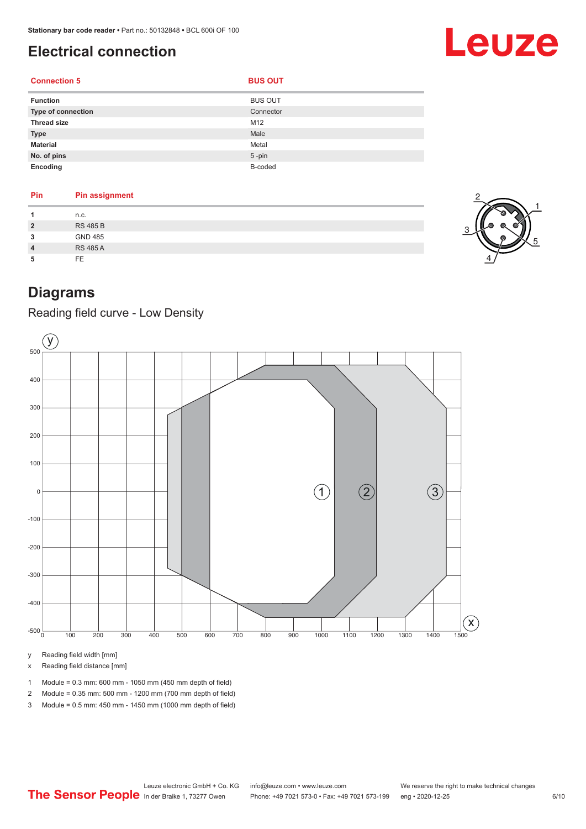# <span id="page-5-0"></span>**Electrical connection**

# Leuze

### **Connection 5**

| ٩<br>٠ | ٩ |
|--------|---|
|        |   |

| <b>Function</b>    | <b>BUS OUT</b> |
|--------------------|----------------|
| Type of connection | Connector      |
| <b>Thread size</b> | M12            |
| <b>Type</b>        | Male           |
| <b>Material</b>    | Metal          |
| No. of pins        | $5$ -pin       |
| Encoding           | B-coded        |

| Pin            | <b>Pin assignment</b> |
|----------------|-----------------------|
| 1              | n.c.                  |
| $\overline{2}$ | <b>RS 485 B</b>       |
| 3              | <b>GND 485</b>        |
| $\overline{4}$ | <b>RS 485 A</b>       |
| 5              | FE                    |



# **Diagrams**

Reading field curve - Low Density



y Reading field width [mm]

x Reading field distance [mm]

- 1 Module = 0.3 mm: 600 mm 1050 mm (450 mm depth of field)
- 2 Module = 0.35 mm: 500 mm 1200 mm (700 mm depth of field)
- 3 Module = 0.5 mm: 450 mm 1450 mm (1000 mm depth of field)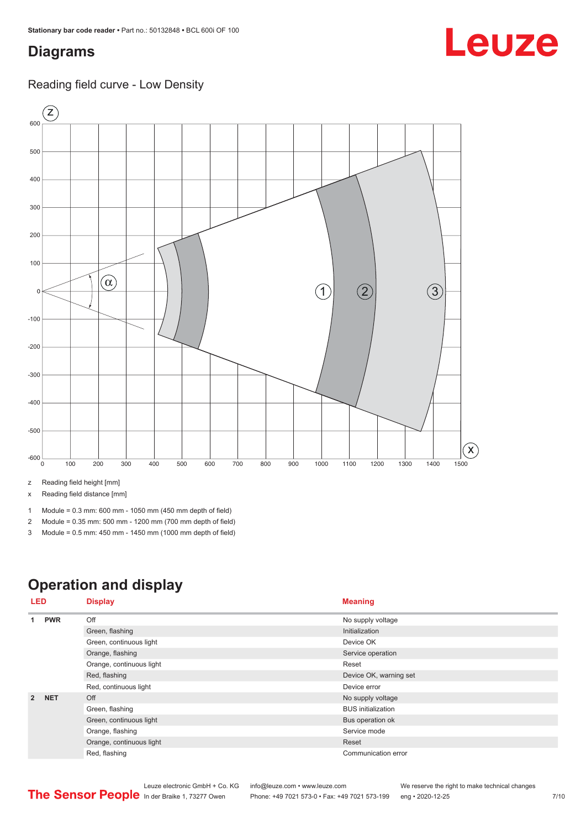# <span id="page-6-0"></span>**Diagrams**

### Reading field curve - Low Density



z Reading field height [mm]

x Reading field distance [mm]

- 1 Module = 0.3 mm: 600 mm 1050 mm (450 mm depth of field)
- 2 Module = 0.35 mm: 500 mm 1200 mm (700 mm depth of field)
- 3 Module = 0.5 mm: 450 mm 1450 mm (1000 mm depth of field)

# **Operation and display**

| LED            |                         | <b>Display</b>           | <b>Meaning</b>            |
|----------------|-------------------------|--------------------------|---------------------------|
| 1              | <b>PWR</b>              | Off                      | No supply voltage         |
|                |                         | Green, flashing          | Initialization            |
|                |                         | Green, continuous light  | Device OK                 |
|                |                         | Orange, flashing         | Service operation         |
|                |                         | Orange, continuous light | Reset                     |
|                |                         | Red, flashing            | Device OK, warning set    |
|                |                         | Red, continuous light    | Device error              |
| $\overline{2}$ | <b>NET</b>              | Off                      | No supply voltage         |
|                |                         | Green, flashing          | <b>BUS</b> initialization |
|                | Green, continuous light | Bus operation ok         |                           |
|                | Orange, flashing        | Service mode             |                           |
|                |                         | Orange, continuous light | Reset                     |
|                |                         | Red, flashing            | Communication error       |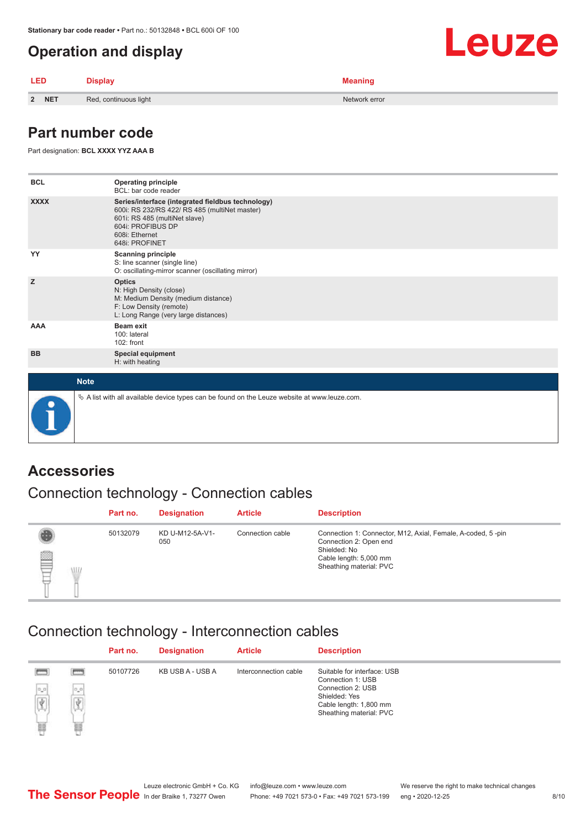# <span id="page-7-0"></span>**Operation and display**

| <b>LED</b> | <b>Display</b>        | <b>Meaning</b> |  |
|------------|-----------------------|----------------|--|
| 2 NET      | Red, continuous light | Network error  |  |

# **Part number code**

Part designation: **BCL XXXX YYZ AAA B**

| <b>BCL</b>  | <b>Operating principle</b><br>BCL: bar code reader                                                                                                                                           |
|-------------|----------------------------------------------------------------------------------------------------------------------------------------------------------------------------------------------|
| <b>XXXX</b> | Series/interface (integrated fieldbus technology)<br>600i: RS 232/RS 422/ RS 485 (multiNet master)<br>601i: RS 485 (multiNet slave)<br>604i: PROFIBUS DP<br>608i: Ethernet<br>648i: PROFINET |
| YY          | <b>Scanning principle</b><br>S: line scanner (single line)<br>O: oscillating-mirror scanner (oscillating mirror)                                                                             |
| z           | <b>Optics</b><br>N: High Density (close)<br>M: Medium Density (medium distance)<br>F: Low Density (remote)<br>L: Long Range (very large distances)                                           |
| AAA         | Beam exit<br>100: lateral<br>102: front                                                                                                                                                      |
| <b>BB</b>   | Special equipment<br>H: with heating                                                                                                                                                         |
| <b>Note</b> |                                                                                                                                                                                              |
|             | $\&$ A list with all available device types can be found on the Leuze website at www.leuze.com.                                                                                              |

### **Accessories**

# Connection technology - Connection cables

|         | Part no. | <b>Designation</b>     | <b>Article</b>   | <b>Description</b>                                                                                                                                         |
|---------|----------|------------------------|------------------|------------------------------------------------------------------------------------------------------------------------------------------------------------|
| ▤<br>WD | 50132079 | KD U-M12-5A-V1-<br>050 | Connection cable | Connection 1: Connector, M12, Axial, Female, A-coded, 5-pin<br>Connection 2: Open end<br>Shielded: No<br>Cable length: 5,000 mm<br>Sheathing material: PVC |

### Connection technology - Interconnection cables

|                                |          | Part no. | <b>Designation</b> | <b>Article</b>        | <b>Description</b>                                                                      |
|--------------------------------|----------|----------|--------------------|-----------------------|-----------------------------------------------------------------------------------------|
|                                |          | 50107726 | KB USB A - USB A   | Interconnection cable | Suitable for interface: USB<br>Connection 1: USB                                        |
| $^{\rm o,o}$<br>$\overline{d}$ | -<br>$+$ |          |                    |                       | Connection 2: USB<br>Shielded: Yes<br>Cable length: 1,800 mm<br>Sheathing material: PVC |
| e                              | 冨        |          |                    |                       |                                                                                         |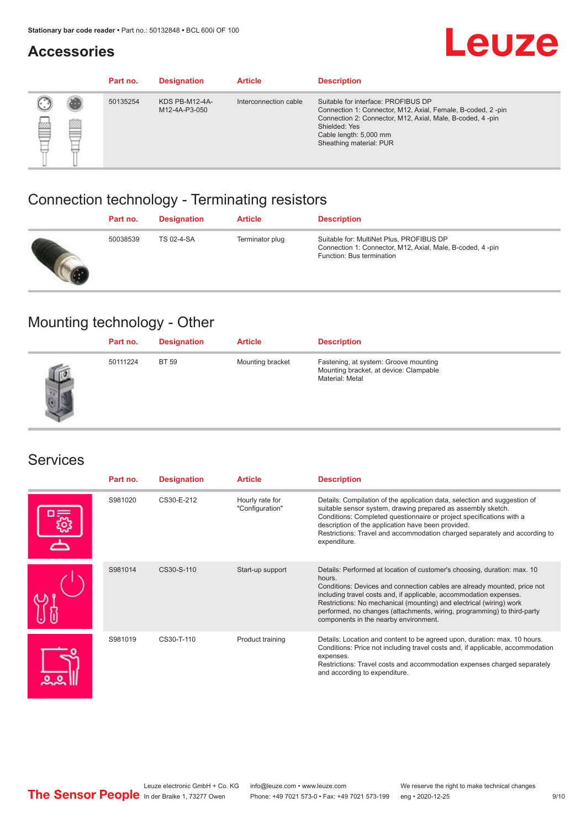# **Accessories**

# Leuze

|   |   | Part no. | <b>Designation</b>                     | <b>Article</b>        | <b>Description</b>                                                                                                                                                                                                                    |
|---|---|----------|----------------------------------------|-----------------------|---------------------------------------------------------------------------------------------------------------------------------------------------------------------------------------------------------------------------------------|
| œ | æ | 50135254 | <b>KDS PB-M12-4A-</b><br>M12-4A-P3-050 | Interconnection cable | Suitable for interface: PROFIBUS DP<br>Connection 1: Connector, M12, Axial, Female, B-coded, 2-pin<br>Connection 2: Connector, M12, Axial, Male, B-coded, 4-pin<br>Shielded: Yes<br>Cable length: 5,000 mm<br>Sheathing material: PUR |

# Connection technology - Terminating resistors

| Part no. | <b>Designation</b> | <b>Article</b>  | <b>Description</b>                                                                                                                 |
|----------|--------------------|-----------------|------------------------------------------------------------------------------------------------------------------------------------|
| 50038539 | <b>TS 02-4-SA</b>  | Terminator plug | Suitable for: MultiNet Plus, PROFIBUS DP<br>Connection 1: Connector, M12, Axial, Male, B-coded, 4-pin<br>Function: Bus termination |

# Mounting technology - Other

| Part no. | <b>Designation</b> | <b>Article</b>   | <b>Description</b>                                                                                 |
|----------|--------------------|------------------|----------------------------------------------------------------------------------------------------|
| 50111224 | <b>BT 59</b>       | Mounting bracket | Fastening, at system: Groove mounting<br>Mounting bracket, at device: Clampable<br>Material: Metal |

### Services

| Part no. | <b>Designation</b> | <b>Article</b>                     | <b>Description</b>                                                                                                                                                                                                                                                                                                                                                                                                              |
|----------|--------------------|------------------------------------|---------------------------------------------------------------------------------------------------------------------------------------------------------------------------------------------------------------------------------------------------------------------------------------------------------------------------------------------------------------------------------------------------------------------------------|
| S981020  | CS30-E-212         | Hourly rate for<br>"Configuration" | Details: Compilation of the application data, selection and suggestion of<br>suitable sensor system, drawing prepared as assembly sketch.<br>Conditions: Completed questionnaire or project specifications with a<br>description of the application have been provided.<br>Restrictions: Travel and accommodation charged separately and according to<br>expenditure.                                                           |
| S981014  | CS30-S-110         | Start-up support                   | Details: Performed at location of customer's choosing, duration: max. 10<br>hours.<br>Conditions: Devices and connection cables are already mounted, price not<br>including travel costs and, if applicable, accommodation expenses.<br>Restrictions: No mechanical (mounting) and electrical (wiring) work<br>performed, no changes (attachments, wiring, programming) to third-party<br>components in the nearby environment. |
| S981019  | $CS30 - T - 110$   | Product training                   | Details: Location and content to be agreed upon, duration: max. 10 hours.<br>Conditions: Price not including travel costs and, if applicable, accommodation<br>expenses.<br>Restrictions: Travel costs and accommodation expenses charged separately<br>and according to expenditure.                                                                                                                                           |